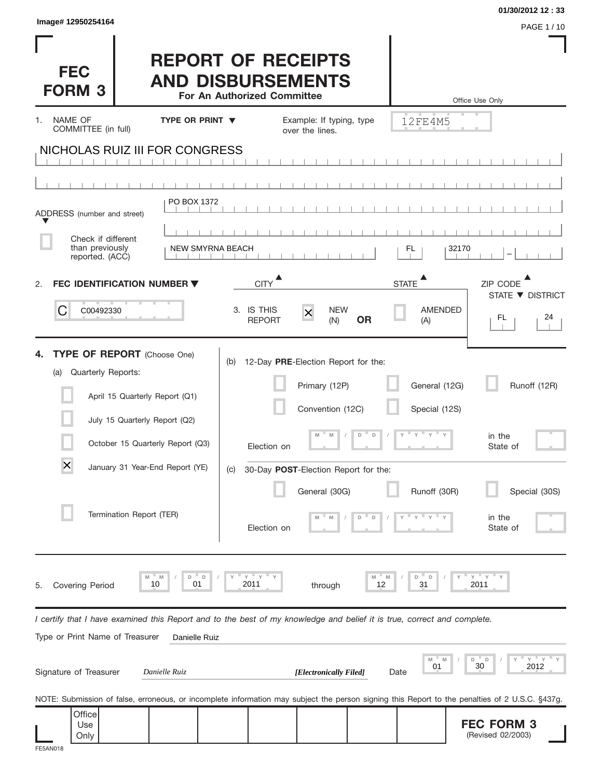| Image# 12950254164                                                                                                                                                                                                                                      |                                                       |                                          |                                                                                                                                             |             |                                                     | 01/30/2012 12:33                                                          |
|---------------------------------------------------------------------------------------------------------------------------------------------------------------------------------------------------------------------------------------------------------|-------------------------------------------------------|------------------------------------------|---------------------------------------------------------------------------------------------------------------------------------------------|-------------|-----------------------------------------------------|---------------------------------------------------------------------------|
| <b>FEC</b><br><b>FORM 3</b>                                                                                                                                                                                                                             | <b>REPORT OF RECEIPTS</b><br><b>AND DISBURSEMENTS</b> | For An Authorized Committee              |                                                                                                                                             |             |                                                     | PAGE 1 / 10<br>Office Use Only                                            |
| NAME OF<br>1.<br>COMMITTEE (in full)                                                                                                                                                                                                                    | <b>TYPE OR PRINT ▼</b>                                |                                          | Example: If typing, type<br>over the lines.                                                                                                 |             | 12FE4M5                                             |                                                                           |
| NICHOLAS RUIZ III FOR CONGRESS                                                                                                                                                                                                                          |                                                       |                                          |                                                                                                                                             |             |                                                     |                                                                           |
| ADDRESS (number and street)                                                                                                                                                                                                                             | PO BOX 1372                                           |                                          |                                                                                                                                             |             |                                                     |                                                                           |
| Check if different<br>than previously<br>reported. (ACC)                                                                                                                                                                                                | <b>NEW SMYRNA BEACH</b>                               |                                          |                                                                                                                                             |             | FL.                                                 | 32170                                                                     |
| FEC IDENTIFICATION NUMBER ▼<br>2.                                                                                                                                                                                                                       |                                                       | <b>CITY</b>                              |                                                                                                                                             |             | <b>STATE</b>                                        | ZIP CODE                                                                  |
| C<br>C00492330                                                                                                                                                                                                                                          |                                                       | 3. IS THIS<br><b>REPORT</b>              | <b>NEW</b><br>$\overline{\mathsf{x}}$<br>(N)                                                                                                | <b>OR</b>   | <b>AMENDED</b><br>(A)                               | STATE ▼ DISTRICT<br>24<br>FL.                                             |
| <b>TYPE OF REPORT</b> (Choose One)<br>4.<br>Quarterly Reports:<br>(a)<br>April 15 Quarterly Report (Q1)<br>July 15 Quarterly Report (Q2)<br>October 15 Quarterly Report (Q3)<br>$\times$<br>January 31 Year-End Report (YE)<br>Termination Report (TER) |                                                       | (b)<br>Election on<br>(c)<br>Election on | 12-Day PRE-Election Report for the:<br>Primary (12P)<br>Convention (12C)<br>M<br>M<br>30-Day POST-Election Report for the:<br>General (30G) | D<br>$\Box$ | General (12G)<br>Special (12S)<br>Y<br>Runoff (30R) | Runoff (12R)<br>in the<br>State of<br>Special (30S)<br>in the<br>State of |
| M<br><b>Covering Period</b><br>5.                                                                                                                                                                                                                       | M<br>D<br>$\mathsf D$<br>10<br>01                     | $Y$ $Y$<br>2011                          | through                                                                                                                                     | 12          | D<br>D<br>31                                        | $Y$ $Y$<br>2011                                                           |
| I certify that I have examined this Report and to the best of my knowledge and belief it is true, correct and complete.<br>Type or Print Name of Treasurer                                                                                              | Danielle Ruiz                                         |                                          |                                                                                                                                             |             |                                                     |                                                                           |
| Signature of Treasurer                                                                                                                                                                                                                                  | Danielle Ruiz                                         |                                          | [Electronically Filed]                                                                                                                      | Date        | M<br>01                                             | Υ<br>D<br>$\Box$<br>30<br>2012                                            |
| NOTE: Submission of false, erroneous, or incomplete information may subject the person signing this Report to the penalties of 2 U.S.C. §437g.                                                                                                          |                                                       |                                          |                                                                                                                                             |             |                                                     |                                                                           |
| Office<br>Use<br>Only<br><b>FF5AN0</b>                                                                                                                                                                                                                  |                                                       |                                          |                                                                                                                                             |             |                                                     | <b>FEC FORM 3</b><br>(Revised 02/2003)                                    |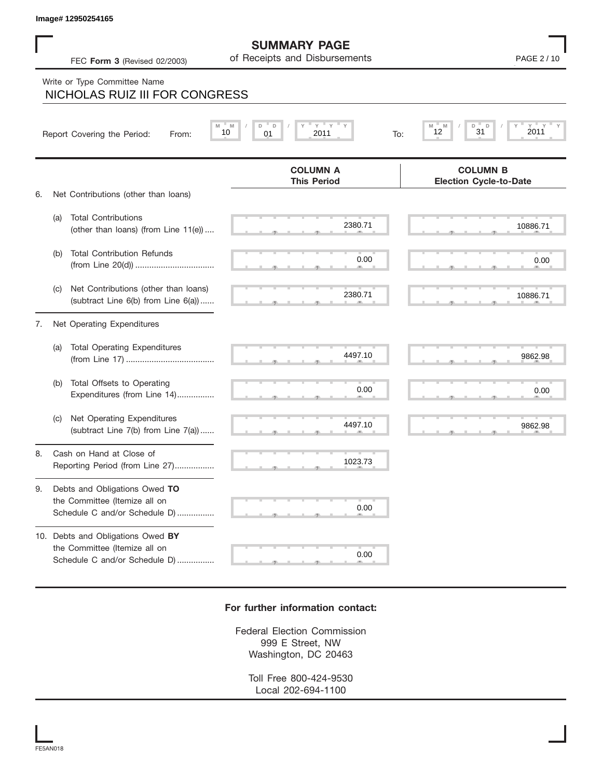|  |  |  | FEC Form 3 (Revised 02/2003) |  |
|--|--|--|------------------------------|--|
|--|--|--|------------------------------|--|

## Write or Type Committee Name

|    |     | Image# 12950254165                                                                                  |                                                      |                                                                                |
|----|-----|-----------------------------------------------------------------------------------------------------|------------------------------------------------------|--------------------------------------------------------------------------------|
|    |     | FEC Form 3 (Revised 02/2003)                                                                        | <b>SUMMARY PAGE</b><br>of Receipts and Disbursements | PAGE 2/10                                                                      |
|    |     | Write or Type Committee Name<br>NICHOLAS RUIZ III FOR CONGRESS                                      |                                                      |                                                                                |
|    |     | M<br>Report Covering the Period:<br>From:                                                           | $Y =$<br>Y<br>M<br>D<br>D<br>10<br>01<br>2011<br>To: | $Y$ <sup><math>=</math></sup><br>$Y =$<br>D<br>D<br>M<br>M<br>31<br>2011<br>12 |
| 6. |     | Net Contributions (other than loans)                                                                | <b>COLUMN A</b><br><b>This Period</b>                | <b>COLUMN B</b><br><b>Election Cycle-to-Date</b>                               |
|    | (a) | <b>Total Contributions</b><br>(other than loans) (from Line 11(e))                                  | 2380.71                                              | 10886.71                                                                       |
|    | (b) | <b>Total Contribution Refunds</b>                                                                   | 0.00                                                 | 0.00                                                                           |
|    | (C) | Net Contributions (other than loans)<br>(subtract Line 6(b) from Line 6(a))                         | 2380.71                                              | 10886.71                                                                       |
| 7. |     | Net Operating Expenditures                                                                          |                                                      |                                                                                |
|    | (a) | <b>Total Operating Expenditures</b>                                                                 | 4497.10                                              | 9862.98                                                                        |
|    | (b) | Total Offsets to Operating<br>Expenditures (from Line 14)                                           | 0.00                                                 | 0.00                                                                           |
|    | (C) | Net Operating Expenditures<br>(subtract Line 7(b) from Line 7(a))                                   | 4497.10                                              | 9862.98                                                                        |
| 8  |     | Cash on Hand at Close of<br>Reporting Period (from Line 27)                                         | 1023.73                                              |                                                                                |
| 9. |     | Debts and Obligations Owed TO<br>the Committee (Itemize all on<br>Schedule C and/or Schedule D)     | 0.00                                                 |                                                                                |
|    |     | 10. Debts and Obligations Owed BY<br>the Committee (Itemize all on<br>Schedule C and/or Schedule D) | 0.00                                                 |                                                                                |

## **For further information contact:**

Federal Election Commission 999 E Street, NW Washington, DC 20463

> Toll Free 800-424-9530 Local 202-694-1100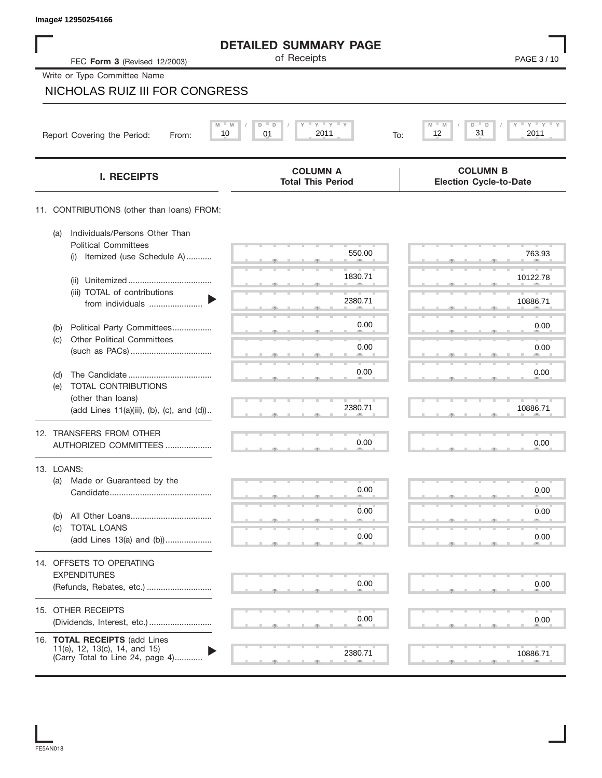| Image# 12950254166                                                            |                                                    |                                                  |
|-------------------------------------------------------------------------------|----------------------------------------------------|--------------------------------------------------|
|                                                                               | <b>DETAILED SUMMARY PAGE</b>                       |                                                  |
| FEC Form 3 (Revised 12/2003)                                                  | of Receipts                                        | PAGE 3/10                                        |
| Write or Type Committee Name                                                  |                                                    |                                                  |
| NICHOLAS RUIZ III FOR CONGRESS                                                |                                                    |                                                  |
|                                                                               |                                                    |                                                  |
| M                                                                             | $Y$ $Y$ $Y$ $Y$<br>M<br>D<br>D<br>01<br>10<br>2011 | M<br>$Y = Y =$<br>D<br>D<br>31<br>12<br>2011     |
| Report Covering the Period:<br>From:                                          | To:                                                |                                                  |
| <b>I. RECEIPTS</b>                                                            | <b>COLUMN A</b><br><b>Total This Period</b>        | <b>COLUMN B</b><br><b>Election Cycle-to-Date</b> |
| 11. CONTRIBUTIONS (other than loans) FROM:                                    |                                                    |                                                  |
| Individuals/Persons Other Than<br>(a)<br><b>Political Committees</b>          |                                                    |                                                  |
| Itemized (use Schedule A)<br>(i)                                              | 550.00                                             | 763.93                                           |
| (ii)                                                                          | 1830.71                                            | 10122.78                                         |
| (iii) TOTAL of contributions<br>from individuals                              | 2380.71                                            | 10886.71                                         |
|                                                                               | 0.00                                               | 0.00                                             |
| Political Party Committees<br>(b)<br><b>Other Political Committees</b><br>(c) |                                                    |                                                  |
|                                                                               | 0.00                                               | 0.00                                             |
| (d)                                                                           | 0.00                                               | 0.00                                             |
| TOTAL CONTRIBUTIONS<br>(e)<br>(other than loans)                              |                                                    |                                                  |
| (add Lines 11(a)(iii), (b), (c), and (d))                                     | 2380.71                                            | 10886.71                                         |
| 12. TRANSFERS FROM OTHER                                                      |                                                    |                                                  |
| AUTHORIZED COMMITTEES                                                         | 0.00                                               | 0.00                                             |
| 13. LOANS:                                                                    |                                                    |                                                  |
| Made or Guaranteed by the<br>(a)                                              | 0.00                                               | 0.00                                             |
|                                                                               | 0.00                                               | 0.00                                             |
| (b)<br><b>TOTAL LOANS</b><br>(c)                                              |                                                    |                                                  |
| (add Lines 13(a) and (b))                                                     | 0.00                                               | 0.00                                             |
| 14. OFFSETS TO OPERATING                                                      |                                                    |                                                  |
| <b>EXPENDITURES</b>                                                           | 0.00                                               | 0.00                                             |
| (Refunds, Rebates, etc.)                                                      |                                                    |                                                  |
| 15. OTHER RECEIPTS                                                            | 0.00                                               |                                                  |
|                                                                               |                                                    | 0.00                                             |
| 16. TOTAL RECEIPTS (add Lines<br>11(e), 12, 13(c), 14, and 15)                | 2380.71                                            |                                                  |
| (Carry Total to Line 24, page 4)                                              |                                                    | 10886.71                                         |

I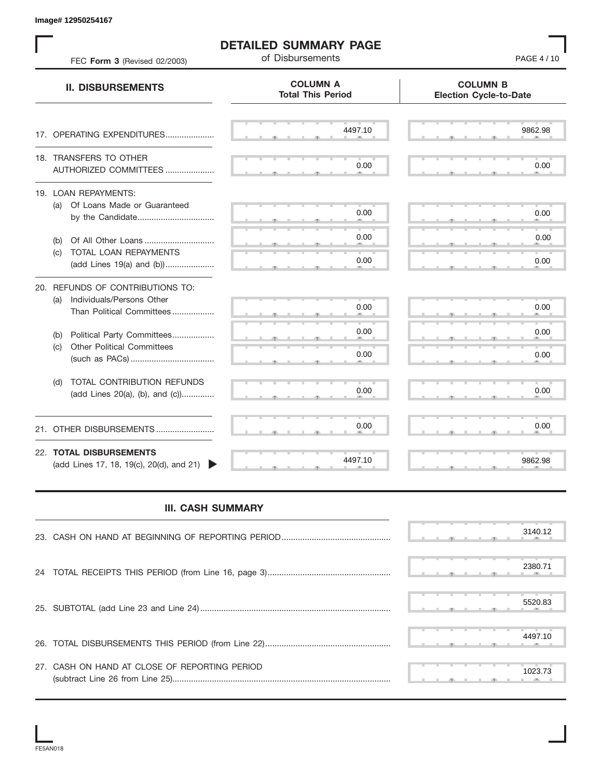S S S , , . S S S , , . S S S , , . S S S , , . S S S , , . S S S , , .  $\overline{S}$  s  $\overline{S}$  ,  $\overline{S}$  ,  $\overline{S}$  ,  $\overline{S}$  ,  $\overline{S}$  ,  $\overline{S}$  ,  $\overline{S}$  ,  $\overline{S}$  ,  $\overline{S}$  ,  $\overline{S}$  ,  $\overline{S}$  ,  $\overline{S}$  ,  $\overline{S}$  ,  $\overline{S}$  ,  $\overline{S}$  ,  $\overline{S}$  ,  $\overline{S}$  ,  $\overline{S}$  ,  $\overline{S}$  , S S S , , . S S S , , . S S S , , . S S S , , . S S S , , . S S S , , . S S S , , . S S S , , . S S S , , . S S S , , . S S S , , . S S S , , . S S S S S S **COLUMN B Election Cycle-to-Date COLUMN A Total This Period** 17. OPERATING EXPENDITURES.................... 18. TRANSFERS TO OTHER AUTHORIZED COMMITTEES ..................... 19. LOAN REPAYMENTS: (a) Of Loans Made or Guaranteed by the Candidate ................................. (b) Of All Other Loans .............................. (c) TOTAL LOAN REPAYMENTS (add Lines 19(a) and (b)) ..................... 20. REFUNDS OF CONTRIBUTIONS TO: (a) Individuals/Persons Other Than Political Committees ................. (b) Political Party Committees.................. (c) Other Political Committees (such as PACs) .................................... (d) TOTAL CONTRIBUTION REFUNDS (add Lines 20(a), (b), and (c)).............. 21. OTHER DISBURSEMENTS ......................... 22. **TOTAL DISBURSEMENTS**   $(\text{add Lines 17}, 18, 19(c), 20(d), \text{and } 21)$ **II. DISBURSEMENTS** FEC **Form 3** (Revised 02/2003) **COMPOSE 19 (10)** Of Disbursements **PAGE 4** / 10 , , . , , . **EXERCUS FROM A CONTROL CONTROL CONTROL CONTROL CONTROL CONTROL CONTROL CONTROL CONTROL CONTROL CONTROL CONTROL CONTROL CONTROL CONTROL CONTROL CONTROL CONTROL CONTROL CONTROL CONTROL CONTROL CONTROL CONTROL CONTROL CONT** 

**DETAILED SUMMARY PAGE**

## **III. CASH SUMMARY**

|                                               |  |  |  | 3140.12 |
|-----------------------------------------------|--|--|--|---------|
|                                               |  |  |  | 2380.71 |
|                                               |  |  |  | 5520.83 |
|                                               |  |  |  | 4497.10 |
| 27. CASH ON HAND AT CLOSE OF REPORTING PERIOD |  |  |  | 1023.73 |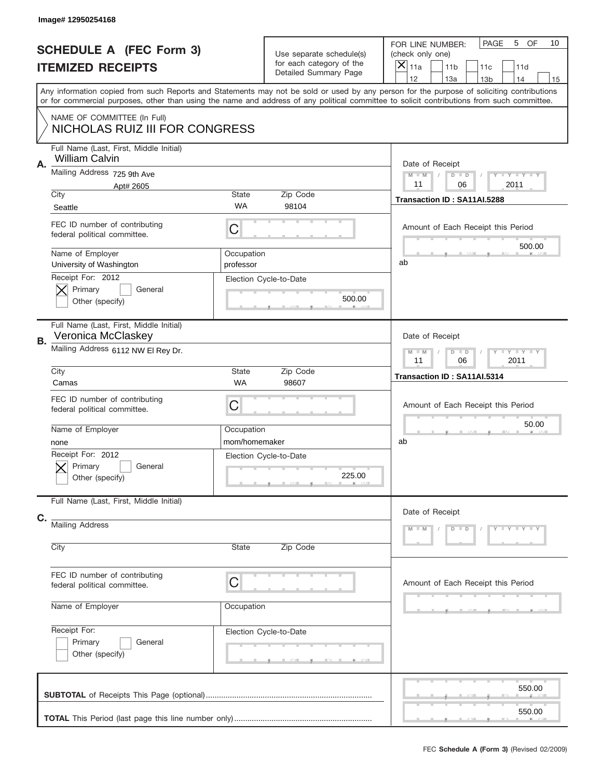|                                                                                                                                           | Image# 12950254168                                                   |                                         |                                                      |                                                                                                                                                |  |  |  |
|-------------------------------------------------------------------------------------------------------------------------------------------|----------------------------------------------------------------------|-----------------------------------------|------------------------------------------------------|------------------------------------------------------------------------------------------------------------------------------------------------|--|--|--|
|                                                                                                                                           | <b>SCHEDULE A (FEC Form 3)</b><br><b>ITEMIZED RECEIPTS</b>           |                                         | Use separate schedule(s)<br>for each category of the | <b>PAGE</b><br>5<br><b>OF</b><br>10<br>FOR LINE NUMBER:<br>(check only one)<br>$\overline{\mathsf{x}}$<br>11a<br>11 <sub>b</sub><br>11c<br>11d |  |  |  |
| Any information copied from such Reports and Statements may not be sold or used by any person for the purpose of soliciting contributions |                                                                      |                                         | Detailed Summary Page                                | 12<br>13a<br>14<br>13 <sub>b</sub><br>15                                                                                                       |  |  |  |
|                                                                                                                                           |                                                                      |                                         |                                                      | or for commercial purposes, other than using the name and address of any political committee to solicit contributions from such committee.     |  |  |  |
|                                                                                                                                           | NAME OF COMMITTEE (In Full)<br><b>NICHOLAS RUIZ III FOR CONGRESS</b> |                                         |                                                      |                                                                                                                                                |  |  |  |
| Α.                                                                                                                                        | Full Name (Last, First, Middle Initial)<br><b>William Calvin</b>     | Date of Receipt                         |                                                      |                                                                                                                                                |  |  |  |
|                                                                                                                                           | Mailing Address 725 9th Ave<br>Apt# 2605                             |                                         | Y FY FY FY<br>$M - M$<br>$D$ $D$<br>2011<br>11<br>06 |                                                                                                                                                |  |  |  |
|                                                                                                                                           | City<br>Seattle                                                      | State<br><b>WA</b>                      | Zip Code<br>98104                                    | Transaction ID: SA11AI.5288                                                                                                                    |  |  |  |
|                                                                                                                                           | FEC ID number of contributing<br>federal political committee.        | C                                       |                                                      | Amount of Each Receipt this Period                                                                                                             |  |  |  |
|                                                                                                                                           | Name of Employer<br>University of Washington                         | Occupation<br>professor                 |                                                      | 500.00<br>ab                                                                                                                                   |  |  |  |
|                                                                                                                                           | Receipt For: 2012<br>Primary<br>General<br>Other (specify)           | Election Cycle-to-Date                  |                                                      |                                                                                                                                                |  |  |  |
| В.                                                                                                                                        | Full Name (Last, First, Middle Initial)<br>Veronica McClaskey        |                                         |                                                      | Date of Receipt                                                                                                                                |  |  |  |
|                                                                                                                                           | Mailing Address 6112 NW El Rey Dr.                                   |                                         |                                                      | Y TY TY TY<br>$M - M$<br>$D$ $D$<br>11<br>06<br>2011                                                                                           |  |  |  |
|                                                                                                                                           | City<br>Camas                                                        | State<br>Zip Code<br><b>WA</b><br>98607 |                                                      | Transaction ID: SA11AI.5314                                                                                                                    |  |  |  |
|                                                                                                                                           | FEC ID number of contributing<br>federal political committee.        | C                                       |                                                      | Amount of Each Receipt this Period                                                                                                             |  |  |  |
|                                                                                                                                           | Name of Employer<br>none                                             | Occupation<br>mom/homemaker             |                                                      | 50.00<br>ab                                                                                                                                    |  |  |  |
|                                                                                                                                           | Receipt For: 2012<br>General<br>Primary<br>Other (specify)           |                                         | Election Cycle-to-Date<br>225.00                     |                                                                                                                                                |  |  |  |
|                                                                                                                                           | Full Name (Last, First, Middle Initial)                              |                                         |                                                      | Date of Receipt                                                                                                                                |  |  |  |
| С.                                                                                                                                        | <b>Mailing Address</b>                                               |                                         |                                                      | Y L Y L Y L Y<br>$M - M$<br>$D$ $D$                                                                                                            |  |  |  |
|                                                                                                                                           | City                                                                 | State                                   | Zip Code                                             |                                                                                                                                                |  |  |  |
|                                                                                                                                           | FEC ID number of contributing<br>federal political committee.        | C                                       |                                                      | Amount of Each Receipt this Period                                                                                                             |  |  |  |
|                                                                                                                                           | Name of Employer                                                     | Occupation                              |                                                      |                                                                                                                                                |  |  |  |
|                                                                                                                                           | Receipt For:<br>Primary<br>General<br>Other (specify)                | Election Cycle-to-Date                  |                                                      |                                                                                                                                                |  |  |  |
|                                                                                                                                           |                                                                      |                                         |                                                      | 550.00<br>550.00                                                                                                                               |  |  |  |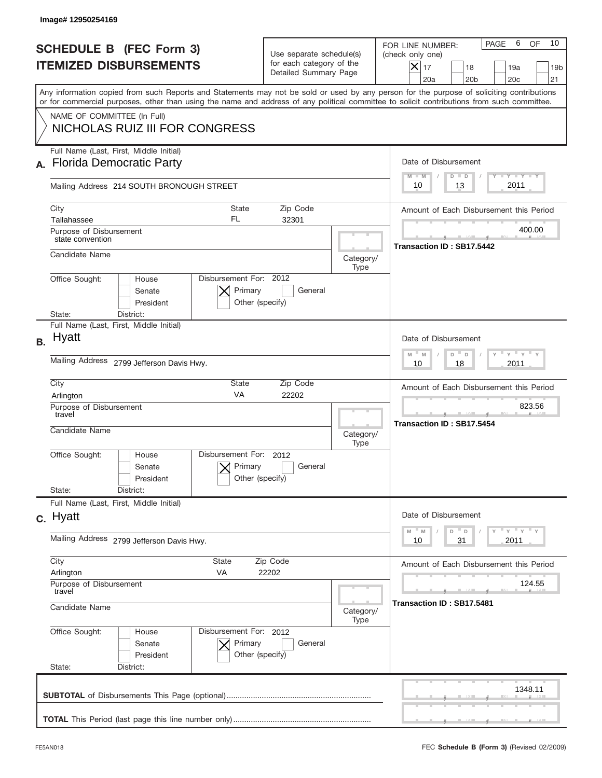|           | Image# 12950254169                                                                                                                                                                                                                                                                      |                                                                                     |                                         |                                                                                                                                |  |
|-----------|-----------------------------------------------------------------------------------------------------------------------------------------------------------------------------------------------------------------------------------------------------------------------------------------|-------------------------------------------------------------------------------------|-----------------------------------------|--------------------------------------------------------------------------------------------------------------------------------|--|
|           | <b>SCHEDULE B (FEC Form 3)</b><br><b>ITEMIZED DISBURSEMENTS</b>                                                                                                                                                                                                                         | Use separate schedule(s)<br>for each category of the<br>Detailed Summary Page       |                                         | 10<br>6<br>PAGE<br>OF<br>FOR LINE NUMBER:<br>(check only one)<br>$ \boldsymbol{\times} $<br>17<br>18<br>19a<br>19 <sub>b</sub> |  |
|           | Any information copied from such Reports and Statements may not be sold or used by any person for the purpose of soliciting contributions<br>or for commercial purposes, other than using the name and address of any political committee to solicit contributions from such committee. |                                                                                     |                                         | 21<br>20a<br>20 <sub>b</sub><br>20 <sub>c</sub>                                                                                |  |
|           | NAME OF COMMITTEE (In Full)<br><b>NICHOLAS RUIZ III FOR CONGRESS</b>                                                                                                                                                                                                                    |                                                                                     |                                         |                                                                                                                                |  |
|           | Full Name (Last, First, Middle Initial)<br><b>Florida Democratic Party</b>                                                                                                                                                                                                              |                                                                                     |                                         | Date of Disbursement<br><b>TANK TANK</b><br>$M - M$<br>$D$ $D$                                                                 |  |
|           | Mailing Address 214 SOUTH BRONOUGH STREET                                                                                                                                                                                                                                               |                                                                                     |                                         | 2011<br>13<br>10                                                                                                               |  |
|           | City<br>State<br>FL<br>Tallahassee                                                                                                                                                                                                                                                      | Zip Code<br>32301                                                                   |                                         | Amount of Each Disbursement this Period                                                                                        |  |
|           | Purpose of Disbursement<br>state convention                                                                                                                                                                                                                                             |                                                                                     |                                         | 400.00                                                                                                                         |  |
|           | Candidate Name                                                                                                                                                                                                                                                                          |                                                                                     |                                         | Transaction ID: SB17.5442                                                                                                      |  |
|           | Disbursement For: 2012<br>Office Sought:<br>House<br>Primary<br>Senate<br>Other (specify)<br>President<br>District:<br>State:                                                                                                                                                           | General                                                                             | Type                                    |                                                                                                                                |  |
|           | Full Name (Last, First, Middle Initial)                                                                                                                                                                                                                                                 |                                                                                     |                                         |                                                                                                                                |  |
| <b>B.</b> | Hyatt                                                                                                                                                                                                                                                                                   |                                                                                     |                                         | Date of Disbursement<br>$\cdots$ $\gamma$ $\cdots$ $\gamma$ $\cdots$<br>$M$ =<br>D<br>M<br>D                                   |  |
|           | Mailing Address 2799 Jefferson Davis Hwy.                                                                                                                                                                                                                                               | 2011<br>10<br>18                                                                    |                                         |                                                                                                                                |  |
|           | City<br>State<br><b>VA</b><br>Arlington                                                                                                                                                                                                                                                 |                                                                                     | Amount of Each Disbursement this Period |                                                                                                                                |  |
|           | Purpose of Disbursement<br>travel                                                                                                                                                                                                                                                       |                                                                                     |                                         | 823.56<br>Transaction ID: SB17.5454                                                                                            |  |
|           | Candidate Name                                                                                                                                                                                                                                                                          | Category/<br>Type                                                                   |                                         |                                                                                                                                |  |
|           | Disbursement For: 2012<br>Office Sought:<br>House<br>Primary<br>Senate<br>Other (specify)<br>President                                                                                                                                                                                  | General                                                                             |                                         |                                                                                                                                |  |
|           | State:<br>District:<br>Full Name (Last, First, Middle Initial)                                                                                                                                                                                                                          |                                                                                     |                                         |                                                                                                                                |  |
|           | c. Hyatt                                                                                                                                                                                                                                                                                | Date of Disbursement<br>γ <sup>=</sup> γ <sup>=</sup> γ <sup>=</sup> γ<br>$-M$<br>D |                                         |                                                                                                                                |  |
|           | Mailing Address 2799 Jefferson Davis Hwy.                                                                                                                                                                                                                                               | $\mathsf D$<br>10<br>2011<br>31                                                     |                                         |                                                                                                                                |  |
|           | City<br><b>State</b><br>Arlington<br><b>VA</b>                                                                                                                                                                                                                                          | Zip Code<br>22202                                                                   |                                         | Amount of Each Disbursement this Period                                                                                        |  |
|           | Purpose of Disbursement<br>travel                                                                                                                                                                                                                                                       |                                                                                     | 124.55                                  |                                                                                                                                |  |
|           | Candidate Name                                                                                                                                                                                                                                                                          |                                                                                     |                                         | Transaction ID: SB17.5481                                                                                                      |  |
|           | Office Sought:<br>Disbursement For: 2012<br>House<br>Senate<br>Primary<br>President<br>Other (specify)<br>State:<br>District:                                                                                                                                                           | General                                                                             |                                         |                                                                                                                                |  |
|           |                                                                                                                                                                                                                                                                                         |                                                                                     |                                         | 1348.11                                                                                                                        |  |
|           |                                                                                                                                                                                                                                                                                         |                                                                                     |                                         |                                                                                                                                |  |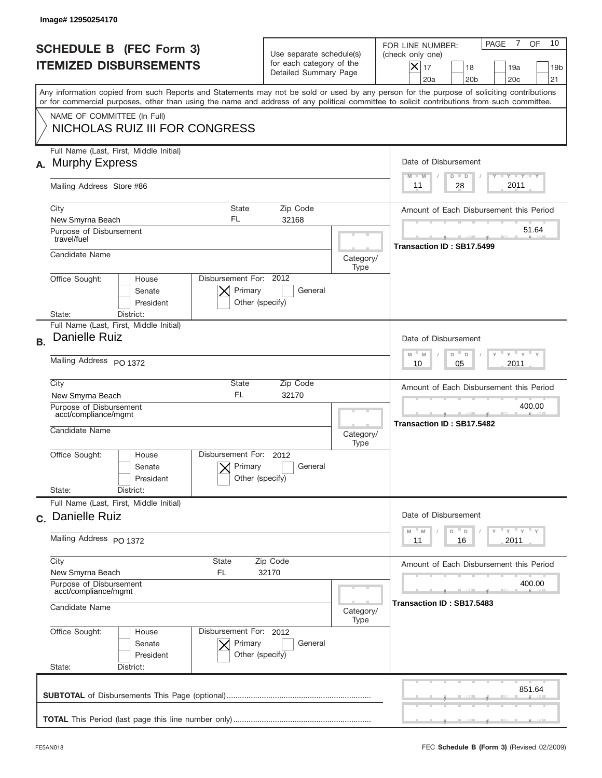|           | Image# 12950254170                                                                                                                                                                                                                                                                      |                                                                               |                           |                                                                                                                                                                                                |  |  |  |
|-----------|-----------------------------------------------------------------------------------------------------------------------------------------------------------------------------------------------------------------------------------------------------------------------------------------|-------------------------------------------------------------------------------|---------------------------|------------------------------------------------------------------------------------------------------------------------------------------------------------------------------------------------|--|--|--|
|           | <b>SCHEDULE B (FEC Form 3)</b><br><b>ITEMIZED DISBURSEMENTS</b>                                                                                                                                                                                                                         | Use separate schedule(s)<br>for each category of the<br>Detailed Summary Page |                           | $\overline{7}$<br>OF<br>10<br>PAGE<br>FOR LINE NUMBER:<br>(check only one)<br>$ \boldsymbol{\times} $<br>17<br>18<br>19a<br>19 <sub>b</sub><br>21<br>20a<br>20 <sub>b</sub><br>20 <sub>c</sub> |  |  |  |
|           | Any information copied from such Reports and Statements may not be sold or used by any person for the purpose of soliciting contributions<br>or for commercial purposes, other than using the name and address of any political committee to solicit contributions from such committee. |                                                                               |                           |                                                                                                                                                                                                |  |  |  |
|           | NAME OF COMMITTEE (In Full)<br>NICHOLAS RUIZ III FOR CONGRESS                                                                                                                                                                                                                           |                                                                               |                           |                                                                                                                                                                                                |  |  |  |
| А.        | Full Name (Last, First, Middle Initial)<br><b>Murphy Express</b>                                                                                                                                                                                                                        | Date of Disbursement                                                          |                           |                                                                                                                                                                                                |  |  |  |
|           | Mailing Address Store #86                                                                                                                                                                                                                                                               | Y LY LY LY<br>$M - M$<br>$D$ $D$<br>2011<br>28<br>11                          |                           |                                                                                                                                                                                                |  |  |  |
|           | City<br><b>State</b><br>FL<br>New Smyrna Beach<br>Purpose of Disbursement                                                                                                                                                                                                               | Amount of Each Disbursement this Period<br>51.64                              |                           |                                                                                                                                                                                                |  |  |  |
|           | travel/fuel<br>Candidate Name                                                                                                                                                                                                                                                           | Category/<br>Type                                                             | Transaction ID: SB17.5499 |                                                                                                                                                                                                |  |  |  |
|           | Disbursement For: 2012<br>Office Sought:<br>House<br>Primary<br>Senate<br>President<br>Other (specify)<br>State:<br>District:                                                                                                                                                           |                                                                               |                           |                                                                                                                                                                                                |  |  |  |
| <b>B.</b> | Full Name (Last, First, Middle Initial)<br>Danielle Ruiz                                                                                                                                                                                                                                |                                                                               |                           | Date of Disbursement                                                                                                                                                                           |  |  |  |
|           | Mailing Address PO 1372                                                                                                                                                                                                                                                                 | $Y$ $Y$<br>M<br>D<br>M<br>$\Box$<br>2011<br>10<br>05                          |                           |                                                                                                                                                                                                |  |  |  |
|           | City<br>State<br><b>FL</b><br>New Smyrna Beach                                                                                                                                                                                                                                          | Amount of Each Disbursement this Period                                       |                           |                                                                                                                                                                                                |  |  |  |
|           | Purpose of Disbursement<br>acct/compliance/mgmt<br>Candidate Name                                                                                                                                                                                                                       |                                                                               |                           | 400.00<br>Transaction ID: SB17.5482                                                                                                                                                            |  |  |  |
|           | Disbursement For: 2012<br>Office Sought:<br>House<br>Primary<br>Senate<br>President                                                                                                                                                                                                     | General<br>Other (specify)                                                    | Type                      |                                                                                                                                                                                                |  |  |  |
|           | State:<br>District:<br>Full Name (Last, First, Middle Initial)                                                                                                                                                                                                                          |                                                                               |                           |                                                                                                                                                                                                |  |  |  |
|           | c. Danielle Ruiz                                                                                                                                                                                                                                                                        | Date of Disbursement<br>≡ү ≡ү ≡ү<br>$-M$<br>M<br>D<br>D                       |                           |                                                                                                                                                                                                |  |  |  |
|           | Mailing Address PO 1372                                                                                                                                                                                                                                                                 | 2011<br>11<br>16                                                              |                           |                                                                                                                                                                                                |  |  |  |
|           | City<br>State<br>Zip Code<br>New Smyrna Beach<br>FL.<br>32170                                                                                                                                                                                                                           | Amount of Each Disbursement this Period                                       |                           |                                                                                                                                                                                                |  |  |  |
|           | Purpose of Disbursement<br>acct/compliance/mgmt<br>Candidate Name                                                                                                                                                                                                                       |                                                                               |                           | 400.00<br>Transaction ID: SB17.5483                                                                                                                                                            |  |  |  |
|           | Office Sought:<br>Disbursement For: 2012<br>House<br>Primary<br>Senate                                                                                                                                                                                                                  | General                                                                       | Category/<br>Type         |                                                                                                                                                                                                |  |  |  |
|           | President<br>State:<br>District:                                                                                                                                                                                                                                                        | Other (specify)                                                               |                           |                                                                                                                                                                                                |  |  |  |
|           |                                                                                                                                                                                                                                                                                         |                                                                               |                           | 851.64                                                                                                                                                                                         |  |  |  |
|           |                                                                                                                                                                                                                                                                                         |                                                                               |                           |                                                                                                                                                                                                |  |  |  |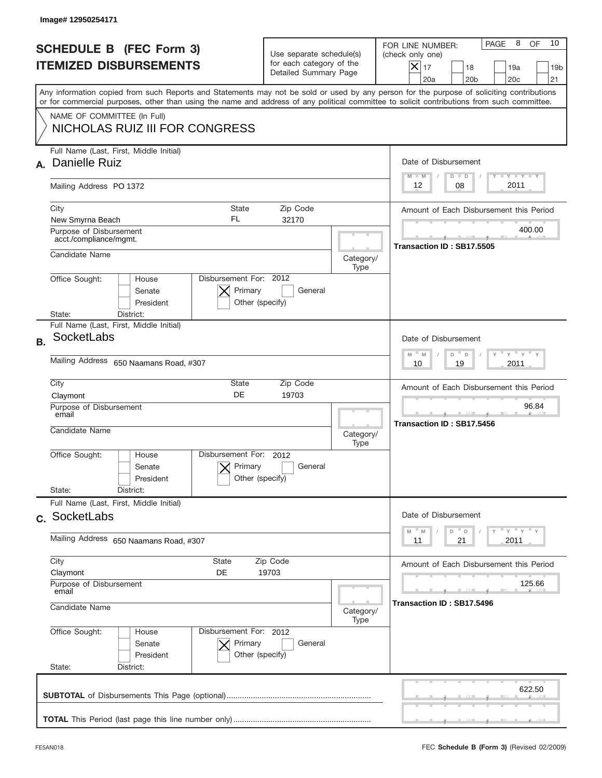|           | Image# 12950254171                                                                                                                                                                                                                                                                      |                                                                               |                                         |                                                                                                                                                                   |  |  |
|-----------|-----------------------------------------------------------------------------------------------------------------------------------------------------------------------------------------------------------------------------------------------------------------------------------------|-------------------------------------------------------------------------------|-----------------------------------------|-------------------------------------------------------------------------------------------------------------------------------------------------------------------|--|--|
|           | <b>SCHEDULE B (FEC Form 3)</b><br><b>ITEMIZED DISBURSEMENTS</b>                                                                                                                                                                                                                         | Use separate schedule(s)<br>for each category of the<br>Detailed Summary Page |                                         | 10<br>8<br>PAGE<br>OF<br>FOR LINE NUMBER:<br>(check only one)<br>$X _{17}$<br>18<br>19a<br>19 <sub>b</sub><br>20a<br>20 <sub>b</sub><br>20 <sub>c</sub><br>21     |  |  |
|           | Any information copied from such Reports and Statements may not be sold or used by any person for the purpose of soliciting contributions<br>or for commercial purposes, other than using the name and address of any political committee to solicit contributions from such committee. |                                                                               |                                         |                                                                                                                                                                   |  |  |
|           | NAME OF COMMITTEE (In Full)<br>NICHOLAS RUIZ III FOR CONGRESS                                                                                                                                                                                                                           |                                                                               |                                         |                                                                                                                                                                   |  |  |
| A.        | Full Name (Last, First, Middle Initial)<br><b>Danielle Ruiz</b>                                                                                                                                                                                                                         |                                                                               |                                         | Date of Disbursement<br>Y TY TY TY<br>$M - M$<br>$D$ $D$                                                                                                          |  |  |
|           | Mailing Address PO 1372                                                                                                                                                                                                                                                                 |                                                                               |                                         | 2011<br>08<br>12                                                                                                                                                  |  |  |
|           | City<br>State<br>FL<br>New Smyrna Beach                                                                                                                                                                                                                                                 |                                                                               | Amount of Each Disbursement this Period |                                                                                                                                                                   |  |  |
|           | Purpose of Disbursement<br>acct./compliance/mgmt.                                                                                                                                                                                                                                       |                                                                               | 400.00                                  |                                                                                                                                                                   |  |  |
|           | Candidate Name                                                                                                                                                                                                                                                                          |                                                                               |                                         | Transaction ID: SB17.5505                                                                                                                                         |  |  |
|           | Disbursement For: 2012<br>Office Sought:<br>House<br>Primary<br>Senate<br>President<br>Other (specify)<br>State:<br>District:                                                                                                                                                           | General                                                                       | Type                                    |                                                                                                                                                                   |  |  |
| <b>B.</b> | Full Name (Last, First, Middle Initial)<br>SocketLabs                                                                                                                                                                                                                                   |                                                                               |                                         | Date of Disbursement<br>$\frac{1}{2}$ $\frac{1}{2}$ $\frac{1}{2}$ $\frac{1}{2}$ $\frac{1}{2}$ $\frac{1}{2}$ $\frac{1}{2}$ $\frac{1}{2}$<br>$M - M$<br>D<br>$\Box$ |  |  |
|           | Mailing Address 650 Naamans Road, #307                                                                                                                                                                                                                                                  |                                                                               |                                         | 2011<br>10<br>19                                                                                                                                                  |  |  |
|           | City<br>State<br>DE<br>Claymont                                                                                                                                                                                                                                                         |                                                                               | Amount of Each Disbursement this Period |                                                                                                                                                                   |  |  |
|           | Purpose of Disbursement<br>email<br>Candidate Name                                                                                                                                                                                                                                      |                                                                               | Category/<br>Type                       | 96.84<br>Transaction ID: SB17.5456                                                                                                                                |  |  |
|           | Disbursement For: 2012<br>Office Sought:<br>House<br>Primary<br>Senate<br>Other (specify)<br>President<br>State:<br>District:                                                                                                                                                           | General                                                                       |                                         |                                                                                                                                                                   |  |  |
|           | Full Name (Last, First, Middle Initial)                                                                                                                                                                                                                                                 |                                                                               |                                         |                                                                                                                                                                   |  |  |
|           | c. SocketLabs                                                                                                                                                                                                                                                                           |                                                                               |                                         | Date of Disbursement<br>$\gamma$ = $\gamma$ = $\gamma$ = $\gamma$<br>$-M$<br>D<br>M<br>D                                                                          |  |  |
|           | Mailing Address 650 Naamans Road, #307                                                                                                                                                                                                                                                  | 2011<br>11<br>21                                                              |                                         |                                                                                                                                                                   |  |  |
|           | City<br>State<br>Zip Code<br>Claymont<br>DE<br>19703                                                                                                                                                                                                                                    |                                                                               | Amount of Each Disbursement this Period |                                                                                                                                                                   |  |  |
|           | Purpose of Disbursement<br>email<br>Candidate Name                                                                                                                                                                                                                                      |                                                                               |                                         | 125.66<br>Transaction ID: SB17.5496                                                                                                                               |  |  |
|           | Office Sought:<br>Disbursement For: 2012<br>House<br>Primary<br>Senate<br>President<br>Other (specify)<br>State:<br>District:                                                                                                                                                           | Type                                                                          |                                         |                                                                                                                                                                   |  |  |
|           |                                                                                                                                                                                                                                                                                         |                                                                               |                                         | 622.50                                                                                                                                                            |  |  |
|           |                                                                                                                                                                                                                                                                                         |                                                                               |                                         |                                                                                                                                                                   |  |  |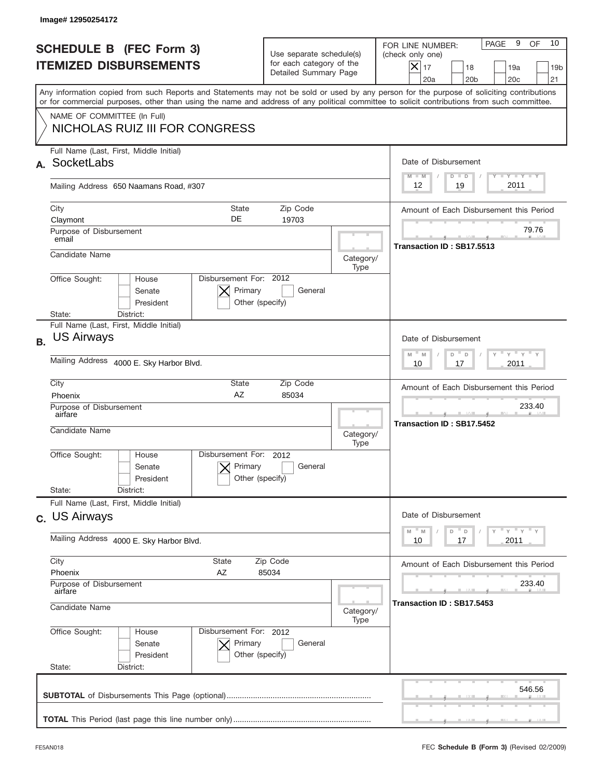|           | Image# 12950254172                                                                                                                                                                                                                                                                      |                                                                               |                                         |                                                                                                                                                                    |
|-----------|-----------------------------------------------------------------------------------------------------------------------------------------------------------------------------------------------------------------------------------------------------------------------------------------|-------------------------------------------------------------------------------|-----------------------------------------|--------------------------------------------------------------------------------------------------------------------------------------------------------------------|
|           | <b>SCHEDULE B (FEC Form 3)</b><br><b>ITEMIZED DISBURSEMENTS</b>                                                                                                                                                                                                                         | Use separate schedule(s)<br>for each category of the<br>Detailed Summary Page |                                         | 10<br>9<br>OF<br>PAGE<br>FOR LINE NUMBER:<br>(check only one)<br>$\times$<br>17<br>18<br>19a<br>19 <sub>b</sub><br>20a<br>20 <sub>b</sub><br>20 <sub>c</sub><br>21 |
|           | Any information copied from such Reports and Statements may not be sold or used by any person for the purpose of soliciting contributions<br>or for commercial purposes, other than using the name and address of any political committee to solicit contributions from such committee. |                                                                               |                                         |                                                                                                                                                                    |
|           | NAME OF COMMITTEE (In Full)<br>NICHOLAS RUIZ III FOR CONGRESS                                                                                                                                                                                                                           |                                                                               |                                         |                                                                                                                                                                    |
| А.        | Full Name (Last, First, Middle Initial)<br>SocketLabs                                                                                                                                                                                                                                   |                                                                               |                                         | Date of Disbursement<br>$T - Y$ $T - Y$<br>$M - M$<br>$D$ $D$                                                                                                      |
|           | Mailing Address 650 Naamans Road, #307                                                                                                                                                                                                                                                  |                                                                               |                                         | 2011<br>19<br>12                                                                                                                                                   |
|           | City<br>State<br>DE<br>Claymont                                                                                                                                                                                                                                                         | Zip Code<br>19703                                                             |                                         | Amount of Each Disbursement this Period                                                                                                                            |
|           | Purpose of Disbursement<br>email                                                                                                                                                                                                                                                        |                                                                               | 79.76<br>Transaction ID: SB17.5513      |                                                                                                                                                                    |
|           | Candidate Name                                                                                                                                                                                                                                                                          |                                                                               | Category/<br>Type                       |                                                                                                                                                                    |
|           | Disbursement For: 2012<br>Office Sought:<br>House<br>Primary<br>Senate<br>Other (specify)<br>President<br>State:<br>District:                                                                                                                                                           | General                                                                       |                                         |                                                                                                                                                                    |
| <b>B.</b> | Full Name (Last, First, Middle Initial)<br><b>US Airways</b>                                                                                                                                                                                                                            |                                                                               |                                         | Date of Disbursement<br>$\frac{1}{2}$ $\frac{1}{2}$ $\frac{1}{2}$ $\frac{1}{2}$ $\frac{1}{2}$ $\frac{1}{2}$ $\frac{1}{2}$ $\frac{1}{2}$<br>$M - M$<br>D<br>$\Box$  |
|           | Mailing Address 4000 E. Sky Harbor Blvd.                                                                                                                                                                                                                                                |                                                                               |                                         | 2011<br>10<br>17                                                                                                                                                   |
|           | City<br>State<br>AZ<br>Phoenix                                                                                                                                                                                                                                                          |                                                                               | Amount of Each Disbursement this Period |                                                                                                                                                                    |
|           | Purpose of Disbursement<br>airfare<br>Candidate Name                                                                                                                                                                                                                                    |                                                                               |                                         | 233.40<br>__<br>Transaction ID: SB17.5452                                                                                                                          |
|           | Disbursement For: 2012<br>Office Sought:<br>House<br>Primary<br>Senate<br>Other (specify)<br>President                                                                                                                                                                                  | General                                                                       | Type                                    |                                                                                                                                                                    |
|           | State:<br>District:<br>Full Name (Last, First, Middle Initial)                                                                                                                                                                                                                          |                                                                               |                                         |                                                                                                                                                                    |
|           | c. US Airways                                                                                                                                                                                                                                                                           |                                                                               |                                         | Date of Disbursement<br>≡ γ ≡ γ ≡ γ<br>M<br>D<br>M<br>D                                                                                                            |
|           | Mailing Address 4000 E. Sky Harbor Blvd.                                                                                                                                                                                                                                                | 17<br>2011<br>10                                                              |                                         |                                                                                                                                                                    |
|           | City<br>State<br>Phoenix<br>AZ                                                                                                                                                                                                                                                          | Zip Code<br>85034                                                             |                                         | Amount of Each Disbursement this Period                                                                                                                            |
|           | Purpose of Disbursement<br>airfare                                                                                                                                                                                                                                                      |                                                                               |                                         | 233.40<br>Transaction ID: SB17.5453                                                                                                                                |
|           | Candidate Name                                                                                                                                                                                                                                                                          | Category/<br>Type                                                             |                                         |                                                                                                                                                                    |
|           | Office Sought:<br>Disbursement For: 2012<br>House<br>Senate<br>Primary<br>President<br>Other (specify)<br>State:<br>District:                                                                                                                                                           |                                                                               |                                         |                                                                                                                                                                    |
|           |                                                                                                                                                                                                                                                                                         |                                                                               |                                         | 546.56                                                                                                                                                             |
|           |                                                                                                                                                                                                                                                                                         |                                                                               |                                         |                                                                                                                                                                    |